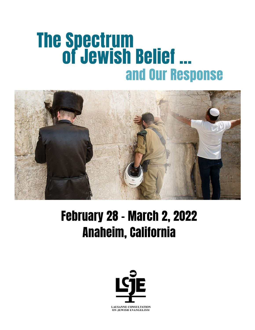# The Spectrum of Jewish Belief … and Our Response



# February 28 – March 2, 2022 Anaheim, California